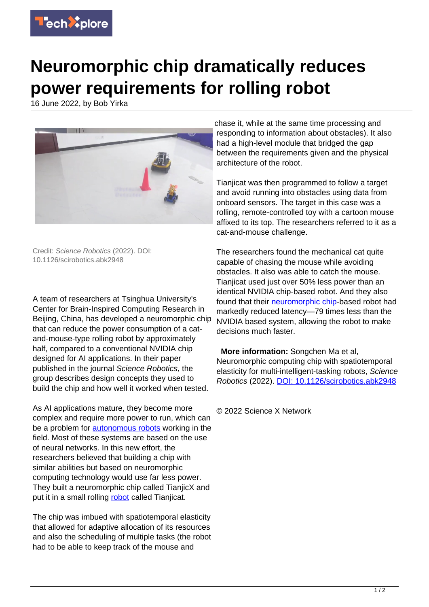

## **Neuromorphic chip dramatically reduces power requirements for rolling robot**

16 June 2022, by Bob Yirka



Credit: Science Robotics (2022). DOI: 10.1126/scirobotics.abk2948

A team of researchers at Tsinghua University's Center for Brain-Inspired Computing Research in Beijing, China, has developed a neuromorphic chip that can reduce the power consumption of a catand-mouse-type rolling robot by approximately half, compared to a conventional NVIDIA chip designed for AI applications. In their paper published in the journal Science Robotics, the group describes design concepts they used to build the chip and how well it worked when tested.

As AI applications mature, they become more complex and require more power to run, which can be a problem for [autonomous robots](https://techxplore.com/tags/autonomous+robots/) working in the field. Most of these systems are based on the use of neural networks. In this new effort, the researchers believed that building a chip with similar abilities but based on neuromorphic computing technology would use far less power. They built a neuromorphic chip called TianjicX and put it in a small rolling [robot](https://techxplore.com/tags/robot/) called Tianjicat.

The chip was imbued with spatiotemporal elasticity that allowed for adaptive allocation of its resources and also the scheduling of multiple tasks (the robot had to be able to keep track of the mouse and

chase it, while at the same time processing and responding to information about obstacles). It also had a high-level module that bridged the gap between the requirements given and the physical architecture of the robot.

Tianjicat was then programmed to follow a target and avoid running into obstacles using data from onboard sensors. The target in this case was a rolling, remote-controlled toy with a cartoon mouse affixed to its top. The researchers referred to it as a cat-and-mouse challenge.

The researchers found the mechanical cat quite capable of chasing the mouse while avoiding obstacles. It also was able to catch the mouse. Tianjicat used just over 50% less power than an identical NVIDIA chip-based robot. And they also found that their [neuromorphic chip](https://techxplore.com/tags/neuromorphic+chip/)-based robot had markedly reduced latency—79 times less than the NVIDIA based system, allowing the robot to make decisions much faster.

 **More information:** Songchen Ma et al, Neuromorphic computing chip with spatiotemporal elasticity for multi-intelligent-tasking robots, Science Robotics (2022). [DOI: 10.1126/scirobotics.abk2948](https://dx.doi.org/10.1126/scirobotics.abk2948)

© 2022 Science X Network